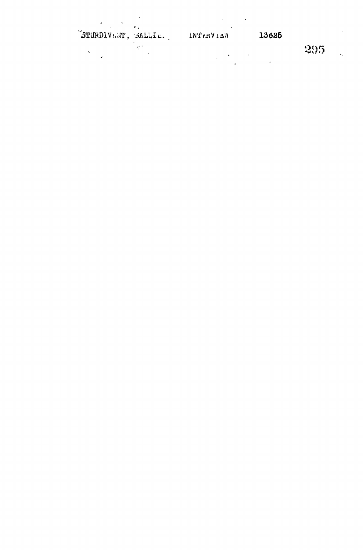ETURDIVANT, SALLIE. INTERVIEN 13626

 $-295$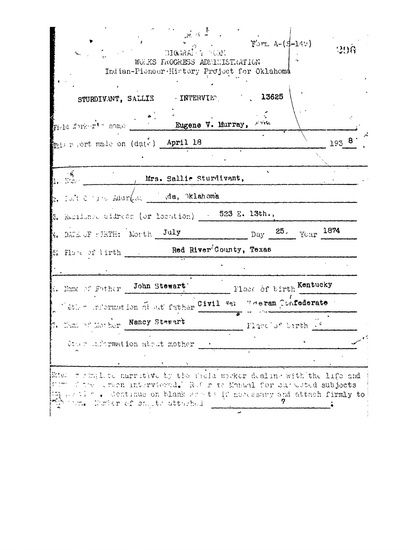| STURDIVANT, SALLIE FINTERVIET, 13625                                          |                           |                               |           |  |
|-------------------------------------------------------------------------------|---------------------------|-------------------------------|-----------|--|
| Field Norker's nome . The Eugene V. Murray, since                             |                           |                               |           |  |
| mais resort made on (date) April 18                                           |                           |                               | 1938      |  |
|                                                                               |                           |                               |           |  |
| $\mathcal{L}(\mathcal{E})$<br>, Mrs. Sallie Sturdivant,<br>- Name             |                           |                               |           |  |
| $z_i$ folt $0 \leq i \leq \text{Adur}(s_i)$ da, oklahoma                      |                           |                               |           |  |
| $5.$ Residence didress (or location) $-$ 523 E. 13th.,                        |                           |                               |           |  |
| $k$ , DATE OF FIRTH: Morth $\,$ July                                          | $_{\text{Day}}$ 25.       |                               | Year 1874 |  |
| $\epsilon$ : Flate of lirth $\epsilon$ . Red River <sup>3</sup> County, Texas |                           |                               |           |  |
|                                                                               |                           |                               |           |  |
| 6. Name of Father John Stewart:                                               | - Flace of birth Kentucky |                               |           |  |
| Vether information at all father Civil Wei Weeran Coafederate                 |                           |                               |           |  |
| Name of Morher Nancy Stewart                                                  |                           | Flace of birth $\mathbb{R}^k$ |           |  |
| Other information about mother                                                |                           |                               |           |  |
|                                                                               |                           |                               |           |  |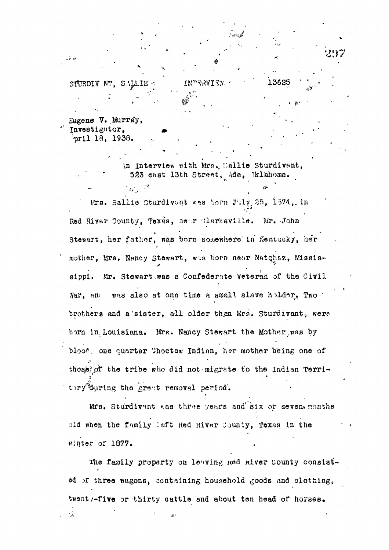STURDIV NT. SALLIE **TNTRAVTEW.** 

 $\mathcal{L}_{\text{eff}} = \mathcal{L}_{\text{eff}}$ 

Eugene V. Murray, Investigator. foril 18. 1938.

> in Interview with Mrs. Sallie Sturdivant, 523 east 13th Street, Ada, Dklahoma.

13625

Mrs. Sallie Sturdivant was born July 25, 1874, in Red River County, Texas, hear Clarksville. Mr. John Stewart, her father, was born somewhere in Kentucky, her mother, Mrs. Nancy Stewart, was born near Natchez, Mississippi. Mr. Stewart was a Confederate Veteran of the Civil War, and was also at one time a small slave holder. Two brothers and a sister, all older than Mrs. Sturdivant, were born in Louisiana. Mrs. Nancy Stewart the Mother, was by bloot, one quarter Choctaw Indian, her mother being one of those of the tribe who did not migrate to the indian Territory during the great removal period.

Mrs. Sturdivant was three years and six or seven months pld when the family left Red River County, Texas in the winter or 1877.

The family property on leaving Red River County consisted of three wagons, containing household goods and clothing, twent /-five or thirty cattle and about ten head of horses.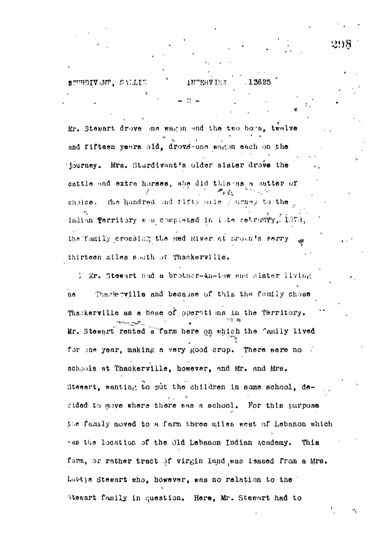**APURDIVANT. SALLIE** 1.3625 1 N er**v** te s

Mr. Stewart drove me wag in and the two boys, twelve and fifteen years old, drovs-one wagon each on the journey. Mrs. Sturdivant's older sister drove the cattle and extra horses, she did this as a satter of choice. the hundred and fifty saile surney to the Indian Perritory was complated in late retruggy, 1373, the family crossing the Red River at Broan's Ferry thirteen miles suath of Thackerville.

) Mr. Stewart had a brother-th-the and sister living Thack rville and because of this the family chose  $\mathbf{n}$ Thatkerville as a base of operations in the Territory. Mr. Stewart rented a farm here on which the family lived for one year, making a very good crop. There were no schools at Thackerville, however, and Mr. and Mrs. Stewart, wanting to put the children in some school, decided to move where there was a school. For this purpose the family moved to a farm three miles west of Lebanon which sas the location of the Old Lebanon Indian Academy. This farm, or rather tract of virgin land was leased from a Mrs. Luttle Stewart who, however, was no relation to the Stewart family in question. Here, Mr. Stewart had to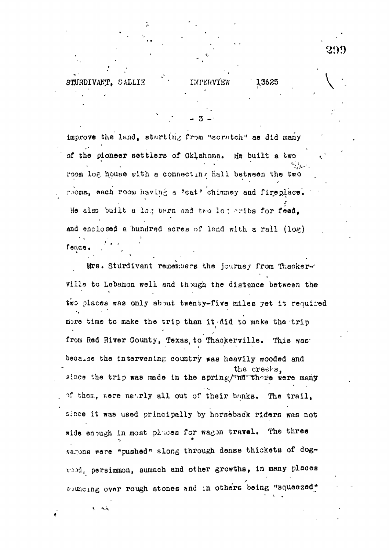13625

improve the land, starting from "scratch" as did many of the pioneer settlers of Oklahoma. He built a two room log house with a connecting hall between the two nooms, each room having a 'cat' chimney and fireplace. He also built a log bern and two log eribs for feed. and enclosed a hundred acres of land with a rail (log) fence.

**TMPERVTER** 

STURDIVANT. SALLIE

 $\mathbf{A}$ 

Mrs. Sturdivant remembers the journey from Thackervills to Lebanon well and though the distance between the two places was only about twenty-five miles yet it required more time to make the trip than it did to make the trip from Red River County, Texas to Thackerville. This was because the intervening country was heavily wooded and the creeks, since the trip was made in the spring/wid there were many of them, nere nearly all out of their banks. The trail, since it was used principally by horseback riders was not wide enough in most pluces for wagon travel. The three sagons were "pushed" slong through dense thickets of dogwood, persimmon, sumach and other growths, in many places souncing over rough stones and in others being "squeezed"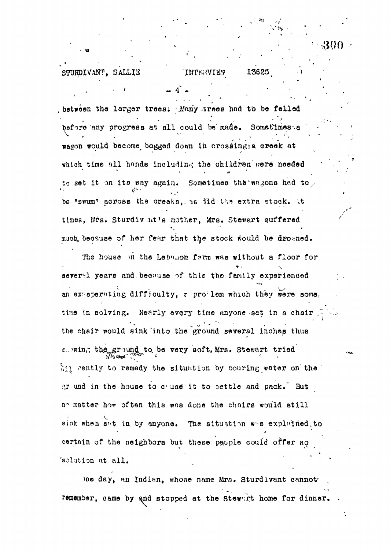13625

## STURDIVANT, SALLIE INTERVIEW

, between the larger trees. Many trees had to be felled before any progress at all could be made. Sometimes a wagon would become bogged down in crossing a creek at which time all hands including the children were needed to set it on its way again. Sometimes the wagons had to be 'swum' across the creeks, is lid the extra stock. It times, Mrs. Sturdivat's mother, Mrs. Stewart suffered much because of her fear that the stock would be drowned.

The house on the Lebanon farm was without a floor for several years and because of this the family experienced an experiting difficulty, a problem which they were some. time in solving. Nearly every time anyone sat in a chair the chair would sink into the ground several inches thus a wing the ground to be very soft, Mrs. Stewart tried hil rently to remedy the situation by pouring water on the gr und in the house to cause it to settle and pack. But no matter how often this was done the chairs would still sink when sat in by anyone. The situation was explained to certain of the neighbors but these people could offer no 'solution at all.

bne day, an Indian, whose name Mrs. Sturdivant cannot remember, came by and stopped at the Stewart home for dinner.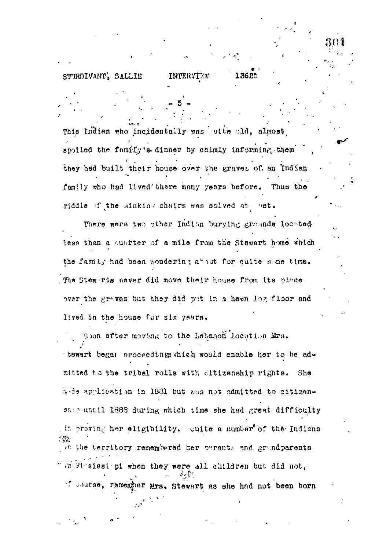## STURDIVANT, SALLIE

This Indian who incidentally was uite old, almost spoiled the family's dinner by calmly informing them they had built their house over the graves of an Indian family who had lived there many years before. Thus the riddle of the sinking chairs was solved at cast.

INTERVIEW

13625

There were two other Indian burying grounds located less than a quarter of a mile from the Stewart home which the family had been wondering about for quite s me time. The Stew rts never did move their house from its piace over the graves but they did put in a hemm log floor and lived in the house for six years.

Soon after moving to the Lebanon location Mrs. tewart began proceedings thich would enable her to be admitted to the tribal rolls with citizenship rights. She arde application in 1831 but was not admitted to citizenship until 1888 during which time she had great difficulty in proving her eligibility. Guite a number of the Indians 长云 in the territory remembered her parents and grandparents " in Mesissiopi when they were all children but did not, at course, remember Mrs. Stewart as she had not been born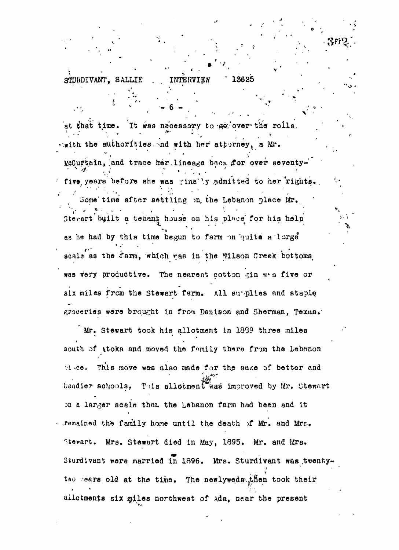INTERVIEW 13625 STURDIVANT, SALLIE

ł.

at that time. It was necessary to go over the rolls. emith the suthorities, and with her attorney, a Mr. McCurtain, and trace her lineage back for over seventyfive years before she was finally admitted to her rights. Some time after settling on the Lebanon place Mr. Stevart built a tenant house on his place for his help as he had by this time begun to farm on quite a large scale as the farm, which ras in the Wilson Creek bottoms, was very productive. The nearest cotton gin was five or aix miles from the Stewart farm. All supplies and staple groceries were brought in from Denison and Sherman, Texas.

Mr. Stewart took his allotment in 1839 three miles south of Atoka and moved the family there from the Lebanon pluce. This move was also made for the sake of better and handler schools. This allotment was improved by Mr. Stewart on a larger scale than the Lebanon farm had been and it - remained the family home until the death of Mr. and Mrs. Stewart. Mrs. Stewart died in May, 1895. Mr. and Mrs. Sturdivant were married in 1896. Mrs. Sturdivant was twentytwo rears old at the time. The newlyweds then took their allotments six miles northwest of Ada, near the present